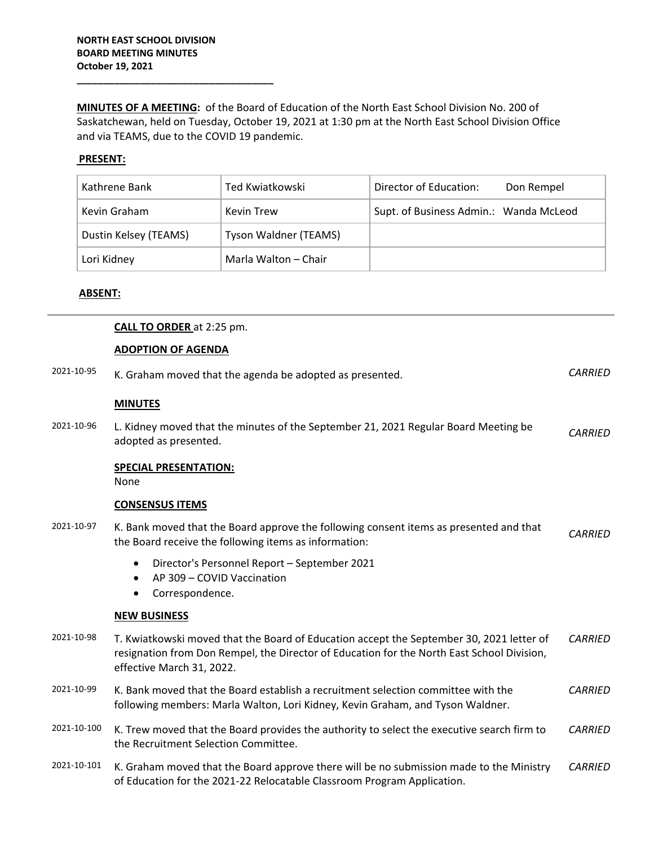**\_\_\_\_\_\_\_\_\_\_\_\_\_\_\_\_\_\_\_\_\_\_\_\_\_\_\_\_\_\_\_\_\_\_\_\_\_**

**MINUTES OF A MEETING:** of the Board of Education of the North East School Division No. 200 of Saskatchewan, held on Tuesday, October 19, 2021 at 1:30 pm at the North East School Division Office and via TEAMS, due to the COVID 19 pandemic.

# **PRESENT:**

| Kathrene Bank         | Ted Kwiatkowski       | Director of Education:<br>Don Rempel   |
|-----------------------|-----------------------|----------------------------------------|
| Kevin Graham          | Kevin Trew            | Supt. of Business Admin.: Wanda McLeod |
| Dustin Kelsey (TEAMS) | Tyson Waldner (TEAMS) |                                        |
| Lori Kidney           | Marla Walton – Chair  |                                        |

#### **ABSENT:**

|             | <b>CALL TO ORDER at 2:25 pm.</b>                                                                                                                                                                                    |                |
|-------------|---------------------------------------------------------------------------------------------------------------------------------------------------------------------------------------------------------------------|----------------|
|             | <b>ADOPTION OF AGENDA</b>                                                                                                                                                                                           |                |
| 2021-10-95  | K. Graham moved that the agenda be adopted as presented.                                                                                                                                                            | <b>CARRIED</b> |
|             | <b>MINUTES</b>                                                                                                                                                                                                      |                |
| 2021-10-96  | L. Kidney moved that the minutes of the September 21, 2021 Regular Board Meeting be<br>adopted as presented.                                                                                                        | <b>CARRIED</b> |
|             | <b>SPECIAL PRESENTATION:</b><br>None                                                                                                                                                                                |                |
|             | <b>CONSENSUS ITEMS</b>                                                                                                                                                                                              |                |
| 2021-10-97  | K. Bank moved that the Board approve the following consent items as presented and that<br>the Board receive the following items as information:                                                                     | <b>CARRIED</b> |
|             | Director's Personnel Report - September 2021<br>AP 309 - COVID Vaccination<br>Correspondence.<br>$\bullet$                                                                                                          |                |
|             | <b>NEW BUSINESS</b>                                                                                                                                                                                                 |                |
| 2021-10-98  | T. Kwiatkowski moved that the Board of Education accept the September 30, 2021 letter of<br>resignation from Don Rempel, the Director of Education for the North East School Division,<br>effective March 31, 2022. | <b>CARRIED</b> |
| 2021-10-99  | K. Bank moved that the Board establish a recruitment selection committee with the<br>following members: Marla Walton, Lori Kidney, Kevin Graham, and Tyson Waldner.                                                 |                |
| 2021-10-100 | K. Trew moved that the Board provides the authority to select the executive search firm to<br>the Recruitment Selection Committee.                                                                                  |                |
| 2021-10-101 | K. Graham moved that the Board approve there will be no submission made to the Ministry<br>of Education for the 2021-22 Relocatable Classroom Program Application.                                                  | <b>CARRIED</b> |